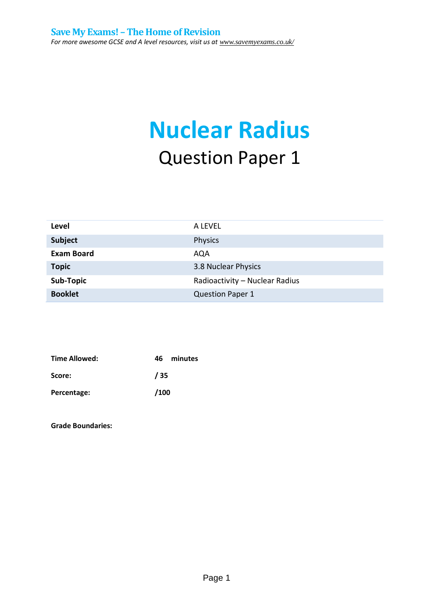# **Nuclear Radius** Question Paper 1

| Level             | A LEVEL                        |
|-------------------|--------------------------------|
| <b>Subject</b>    | Physics                        |
| <b>Exam Board</b> | AQA                            |
| <b>Topic</b>      | 3.8 Nuclear Physics            |
| Sub-Topic         | Radioactivity - Nuclear Radius |
| <b>Booklet</b>    | <b>Question Paper 1</b>        |

| Time Allowed: | 46.  | minutes |
|---------------|------|---------|
| Score:        | / 35 |         |
| Percentage:   | /100 |         |

**Grade Boundaries:**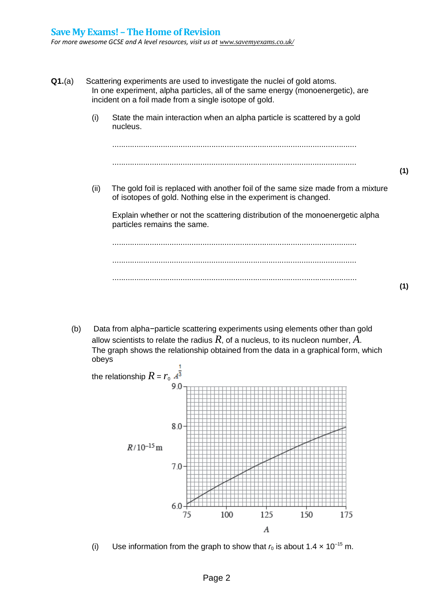- **Q1.**(a) Scattering experiments are used to investigate the nuclei of gold atoms. In one experiment, alpha particles, all of the same energy (monoenergetic), are incident on a foil made from a single isotope of gold. (i) State the main interaction when an alpha particle is scattered by a gold nucleus. ............................................................................................................... ............................................................................................................... (ii) The gold foil is replaced with another foil of the same size made from a mixture of isotopes of gold. Nothing else in the experiment is changed. Explain whether or not the scattering distribution of the monoenergetic alpha particles remains the same. ............................................................................................................... ............................................................................................................... ...............................................................................................................
	- (b) Data from alpha−particle scattering experiments using elements other than gold allow scientists to relate the radius *R*, of a nucleus, to its nucleon number, *A*. The graph shows the relationship obtained from the data in a graphical form, which obeys



(i) Use information from the graph to show that  $r_0$  is about  $1.4 \times 10^{-15}$  m.

**(1)**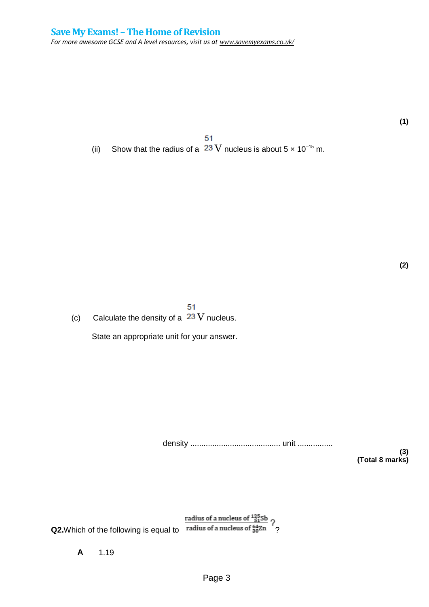**(1)**

51 (ii) Show that the radius of a  $23$  V nucleus is about  $5 \times 10^{-15}$  m.

**(2)**

51 (c) Calculate the density of a  $23$  V nucleus.

State an appropriate unit for your answer.

density ......................................... unit ................

**(3) (Total 8 marks)**

**Q2.**Which of the following is equal to radius of a nucleus of  $\frac{^{125}_{51}Sb}{^{20}_{20}T}$ ?

**A** 1.19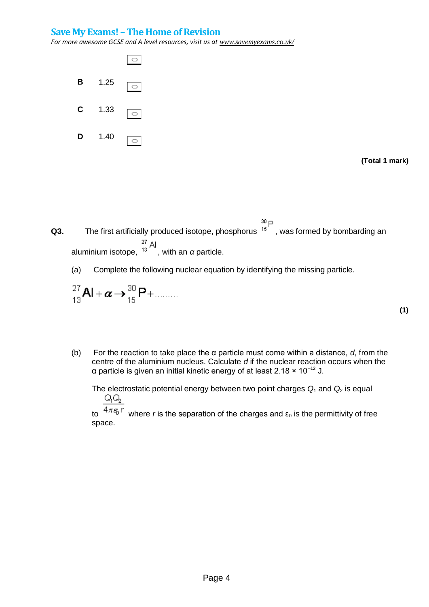#### **Save My Exams! –The Home of Revision**

*For more awesome GCSE and A level resources, visit us at www.savemyexams.co.uk/*



**(Total 1 mark)**

**Q3.** The first artificially produced isotope, phosphorus  ${}^{30}P$ , was formed by bombarding an aluminium isotope, <sup>13</sup> Al aluminium isotope, <sup>13</sup>, with an *α* particle.

(a) Complete the following nuclear equation by identifying the missing particle.

$$
^{27}_{13}\text{Al} + \alpha \rightarrow ^{30}_{15}\text{P} + \dots
$$

**(1)**

(b) For the reaction to take place the α particle must come within a distance, *d*, from the centre of the aluminium nucleus. Calculate *d* if the nuclear reaction occurs when the α particle is given an initial kinetic energy of at least 2.18 × 10–12 J.

The electrostatic potential energy between two point charges *Q*<sup>1</sup> and *Q*<sup>2</sup> is equal QQ.

to  $4\pi\varepsilon_0 r$  where *r* is the separation of the charges and  $\varepsilon_0$  is the permittivity of free space.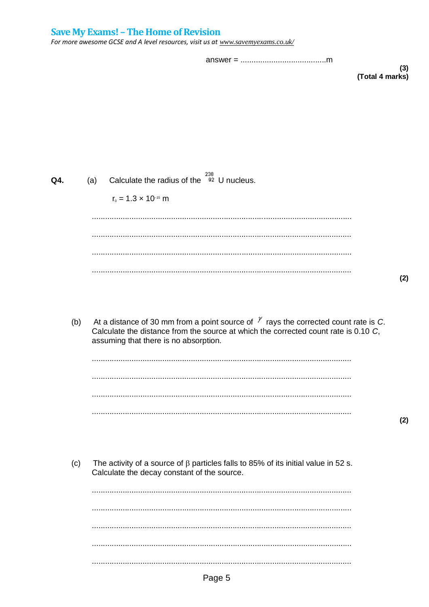### **Save My Exams! - The Home of Revision**

For more awesome GCSE and A level resources, visit us at www.savemyexams.co.uk/

 $(3)$ (Total 4 marks)

| Q4. |     | (a) | Calculate the radius of the $\frac{238}{92}$ U nucleus.                                                                                                                                                                    |
|-----|-----|-----|----------------------------------------------------------------------------------------------------------------------------------------------------------------------------------------------------------------------------|
|     |     |     | $r_0 = 1.3 \times 10^{-15}$ m                                                                                                                                                                                              |
|     |     |     |                                                                                                                                                                                                                            |
|     |     |     |                                                                                                                                                                                                                            |
|     |     |     |                                                                                                                                                                                                                            |
|     |     |     |                                                                                                                                                                                                                            |
|     |     |     |                                                                                                                                                                                                                            |
|     | (b) |     | At a distance of 30 mm from a point source of $\gamma$ rays the corrected count rate is C.<br>Calculate the distance from the source at which the corrected count rate is 0.10 C,<br>assuming that there is no absorption. |
|     |     |     |                                                                                                                                                                                                                            |
|     |     |     |                                                                                                                                                                                                                            |

 $(2)$ 

 $(2)$ 

The activity of a source of  $\beta$  particles falls to 85% of its initial value in 52 s.  $(c)$ Calculate the decay constant of the source.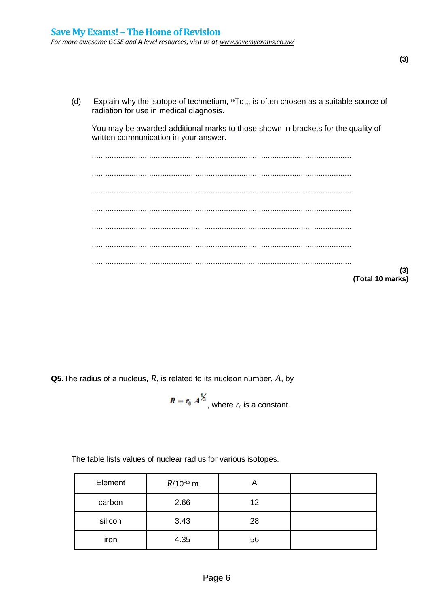(d) Explain why the isotope of technetium,  $^{99}Tc_m$ , is often chosen as a suitable source of radiation for use in medical diagnosis.

You may be awarded additional marks to those shown in brackets for the quality of written communication in your answer.

...................................................................................................................... ...................................................................................................................... ...................................................................................................................... ...................................................................................................................... ...................................................................................................................... ...................................................................................................................... ...................................................................................................................... **(Total 10 marks)**

**Q5.**The radius of a nucleus, *R*, is related to its nucleon number, *A*, by

$$
R = r_0 A^{\frac{1}{3}},
$$
 where  $r_0$  is a constant.

The table lists values of nuclear radius for various isotopes.

| Element | $R/10^{-15}$ m | Α  |  |
|---------|----------------|----|--|
| carbon  | 2.66           | 12 |  |
| silicon | 3.43           | 28 |  |
| iron    | 4.35           | 56 |  |

**(3)**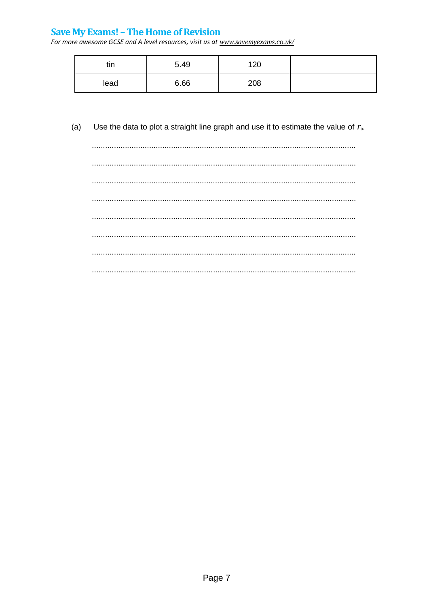## **Save My Exams! - The Home of Revision**

For more awesome GCSE and A level resources, visit us at www.savemyexams.co.uk/

| . .<br>แท | 5.49 | 120 |  |
|-----------|------|-----|--|
| lead      | 6.66 | 208 |  |

#### Use the data to plot a straight line graph and use it to estimate the value of  $r_0$ .  $(a)$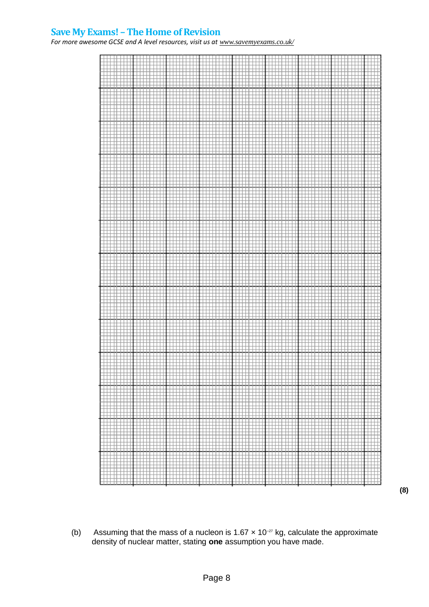#### **Save My Exams! –The Home of Revision**

For more awesome GCSE and A level resources, visit us at *www.savemyexams.co.uk/* 



(b) Assuming that the mass of a nucleon is 1.67  $\times$  10<sup>-27</sup> kg, calculate the approximate density of nuclear matter, stating **one** assumption you have made.

**(8)**